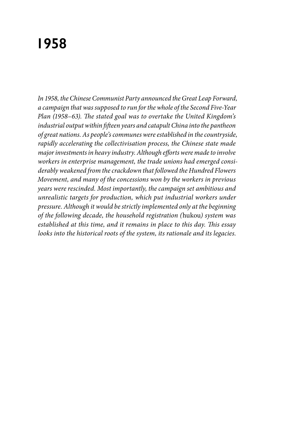# **1958**

*In 1958, the Chinese Communist Party announced the Great Leap Forward, a campaign that was supposed to run for the whole of the Second Five-Year Plan (1958–63). The stated goal was to overtake the United Kingdom's industrial output within fifteen years and catapult China into the pantheon of great nations. As people's communes were established in the countryside, rapidly accelerating the collectivisation process, the Chinese state made major investments in heavy industry. Although efforts were made to involve workers in enterprise management, the trade unions had emerged considerably weakened from the crackdown that followed the Hundred Flowers Movement, and many of the concessions won by the workers in previous years were rescinded. Most importantly, the campaign set ambitious and unrealistic targets for production, which put industrial workers under pressure. Although it would be strictly implemented only at the beginning of the following decade, the household registration (*hukou*) system was established at this time, and it remains in place to this day. This essay looks into the historical roots of the system, its rationale and its legacies.*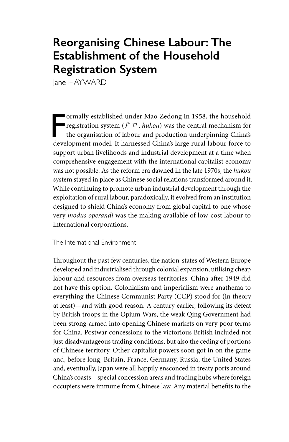## **Reorganising Chinese Labour: The Establishment of the Household Registration System**

lane HAYWARD

F<br>deve ormally established under Mao Zedong in 1958, the household registration system ( $\dot{P}$   $\Box$ , *hukou*) was the central mechanism for the organisation of labour and production underpinning China's development model. It harnessed China's large rural labour force to support urban livelihoods and industrial development at a time when comprehensive engagement with the international capitalist economy was not possible. As the reform era dawned in the late 1970s, the *hukou* system stayed in place as Chinese social relations transformed around it. While continuing to promote urban industrial development through the exploitation of rural labour, paradoxically, it evolved from an institution designed to shield China's economy from global capital to one whose very *modus operandi* was the making available of low-cost labour to international corporations.

The International Environment

Throughout the past few centuries, the nation-states of Western Europe developed and industrialised through colonial expansion, utilising cheap labour and resources from overseas territories. China after 1949 did not have this option. Colonialism and imperialism were anathema to everything the Chinese Communist Party (CCP) stood for (in theory at least)—and with good reason. A century earlier, following its defeat by British troops in the Opium Wars, the weak Qing Government had been strong-armed into opening Chinese markets on very poor terms for China. Postwar concessions to the victorious British included not just disadvantageous trading conditions, but also the ceding of portions of Chinese territory. Other capitalist powers soon got in on the game and, before long, Britain, France, Germany, Russia, the United States and, eventually, Japan were all happily ensconced in treaty ports around China's coasts—special concession areas and trading hubs where foreign occupiers were immune from Chinese law. Any material benefits to the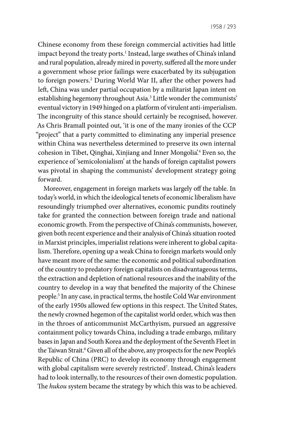1958 / 293

Chinese economy from these foreign commercial activities had little impact beyond the treaty ports.1 Instead, large swathes of China's inland and rural population, already mired in poverty, suffered all the more under a government whose prior failings were exacerbated by its subjugation to foreign powers.2 During World War II, after the other powers had left, China was under partial occupation by a militarist Japan intent on establishing hegemony throughout Asia.3 Little wonder the communists' eventual victory in 1949 hinged on a platform of virulent anti-imperialism. The incongruity of this stance should certainly be recognised, however. As Chris Bramall pointed out, 'it is one of the many ironies of the CCP "project" that a party committed to eliminating any imperial presence within China was nevertheless determined to preserve its own internal cohesion in Tibet, Qinghai, Xinjiang and Inner Mongolia'.4 Even so, the experience of 'semicolonialism' at the hands of foreign capitalist powers was pivotal in shaping the communists' development strategy going forward.

Moreover, engagement in foreign markets was largely off the table. In today's world, in which the ideological tenets of economic liberalism have resoundingly triumphed over alternatives, economic pundits routinely take for granted the connection between foreign trade and national economic growth. From the perspective of China's communists, however, given both recent experience and their analysis of China's situation rooted in Marxist principles, imperialist relations were inherent to global capitalism. Therefore, opening up a weak China to foreign markets would only have meant more of the same: the economic and political subordination of the country to predatory foreign capitalists on disadvantageous terms, the extraction and depletion of national resources and the inability of the country to develop in a way that benefited the majority of the Chinese people.5 In any case, in practical terms, the hostile Cold War environment of the early 1950s allowed few options in this respect. The United States, the newly crowned hegemon of the capitalist world order, which was then in the throes of anticommunist McCarthyism, pursued an aggressive containment policy towards China, including a trade embargo, military bases in Japan and South Korea and the deployment of the Seventh Fleet in the Taiwan Strait.<sup>6</sup> Given all of the above, any prospects for the new People's Republic of China (PRC) to develop its economy through engagement with global capitalism were severely restricted7 . Instead, China's leaders had to look internally, to the resources of their own domestic population. The *hukou* system became the strategy by which this was to be achieved.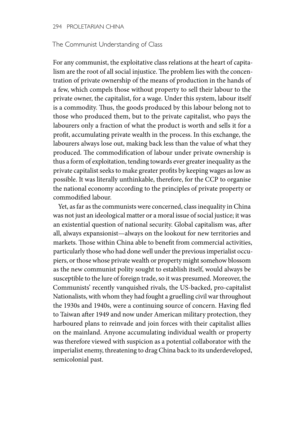#### 294 PROLETARIAN CHINA

#### The Communist Understanding of Class

For any communist, the exploitative class relations at the heart of capitalism are the root of all social injustice. The problem lies with the concentration of private ownership of the means of production in the hands of a few, which compels those without property to sell their labour to the private owner, the capitalist, for a wage. Under this system, labour itself is a commodity. Thus, the goods produced by this labour belong not to those who produced them, but to the private capitalist, who pays the labourers only a fraction of what the product is worth and sells it for a profit, accumulating private wealth in the process. In this exchange, the labourers always lose out, making back less than the value of what they produced. The commodification of labour under private ownership is thus a form of exploitation, tending towards ever greater inequality as the private capitalist seeks to make greater profits by keeping wages as low as possible. It was literally unthinkable, therefore, for the CCP to organise the national economy according to the principles of private property or commodified labour.

Yet, as far as the communists were concerned, class inequality in China was not just an ideological matter or a moral issue of social justice; it was an existential question of national security. Global capitalism was, after all, always expansionist—always on the lookout for new territories and markets. Those within China able to benefit from commercial activities, particularly those who had done well under the previous imperialist occupiers, or those whose private wealth or property might somehow blossom as the new communist polity sought to establish itself, would always be susceptible to the lure of foreign trade, so it was presumed. Moreover, the Communists' recently vanquished rivals, the US-backed, pro-capitalist Nationalists, with whom they had fought a gruelling civil war throughout the 1930s and 1940s, were a continuing source of concern. Having fled to Taiwan after 1949 and now under American military protection, they harboured plans to reinvade and join forces with their capitalist allies on the mainland. Anyone accumulating individual wealth or property was therefore viewed with suspicion as a potential collaborator with the imperialist enemy, threatening to drag China back to its underdeveloped, semicolonial past.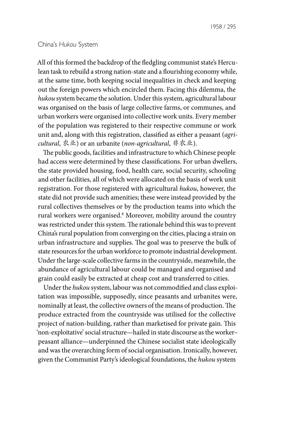#### China's *Hukou* System

All of this formed the backdrop of the fledgling communist state's Herculean task to rebuild a strong nation-state and a flourishing economy while, at the same time, both keeping social inequalities in check and keeping out the foreign powers which encircled them. Facing this dilemma, the *hukou* system became the solution. Under this system, agricultural labour was organised on the basis of large collective farms, or communes, and urban workers were organised into collective work units. Every member of the population was registered to their respective commune or work unit and, along with this registration, classified as either a peasant (*agricultural*, 农业) or an urbanite (*non-agricultural*, 非农业).

The public goods, facilities and infrastructure to which Chinese people had access were determined by these classifications. For urban dwellers, the state provided housing, food, health care, social security, schooling and other facilities, all of which were allocated on the basis of work unit registration. For those registered with agricultural *hukou*, however, the state did not provide such amenities; these were instead provided by the rural collectives themselves or by the production teams into which the rural workers were organised.<sup>8</sup> Moreover, mobility around the country was restricted under this system. The rationale behind this was to prevent China's rural population from converging on the cities, placing a strain on urban infrastructure and supplies. The goal was to preserve the bulk of state resources for the urban workforce to promote industrial development. Under the large-scale collective farms in the countryside, meanwhile, the abundance of agricultural labour could be managed and organised and grain could easily be extracted at cheap cost and transferred to cities.

Under the *hukou* system, labour was not commodified and class exploitation was impossible, supposedly, since peasants and urbanites were, nominally at least, the collective owners of the means of production. The produce extracted from the countryside was utilised for the collective project of nation-building, rather than marketised for private gain. This 'non-exploitative' social structure—hailed in state discourse as the worker– peasant alliance—underpinned the Chinese socialist state ideologically and was the overarching form of social organisation. Ironically, however, given the Communist Party's ideological foundations, the *hukou* system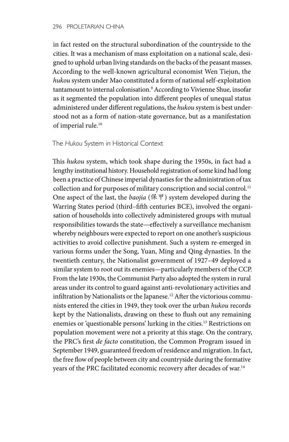in fact rested on the structural subordination of the countryside to the cities. It was a mechanism of mass exploitation on a national scale, designed to uphold urban living standards on the backs of the peasant masses. According to the well-known agricultural economist Wen Tiejun, the *hukou* system under Mao constituted a form of national self-exploitation tantamount to internal colonisation.9 According to Vivienne Shue, insofar as it segmented the population into different peoples of unequal status administered under different regulations, the *hukou* system is best understood not as a form of nation-state governance, but as a manifestation of imperial rule.<sup>10</sup>

### The *Hukou* System in Historical Context

This *hukou* system, which took shape during the 1950s, in fact had a lengthy institutional history. Household registration of some kind had long been a practice of Chinese imperial dynasties for the administration of tax collection and for purposes of military conscription and social control.<sup>11</sup> One aspect of the last, the *baojia* (保甲) system developed during the Warring States period (third–fifth centuries BCE), involved the organisation of households into collectively administered groups with mutual responsibilities towards the state—effectively a surveillance mechanism whereby neighbours were expected to report on one another's suspicious activities to avoid collective punishment. Such a system re-emerged in various forms under the Song, Yuan, Ming and Qing dynasties. In the twentieth century, the Nationalist government of 1927–49 deployed a similar system to root out its enemies—particularly members of the CCP. From the late 1930s, the Communist Party also adopted the system in rural areas under its control to guard against anti-revolutionary activities and infiltration by Nationalists or the Japanese.<sup>12</sup> After the victorious communists entered the cities in 1949, they took over the urban *hukou* records kept by the Nationalists, drawing on these to flush out any remaining enemies or 'questionable persons' lurking in the cities.13 Restrictions on population movement were not a priority at this stage. On the contrary, the PRC's first *de facto* constitution, the Common Program issued in September 1949, guaranteed freedom of residence and migration. In fact, the free flow of people between city and countryside during the formative years of the PRC facilitated economic recovery after decades of war.<sup>14</sup>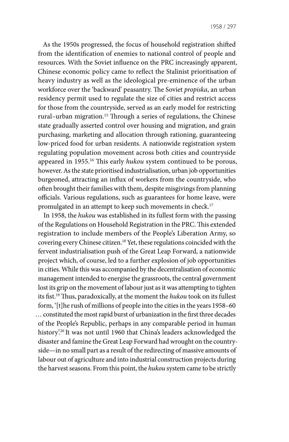As the 1950s progressed, the focus of household registration shifted from the identification of enemies to national control of people and resources. With the Soviet influence on the PRC increasingly apparent, Chinese economic policy came to reflect the Stalinist prioritisation of heavy industry as well as the ideological pre-eminence of the urban workforce over the 'backward' peasantry. The Soviet *propiska*, an urban residency permit used to regulate the size of cities and restrict access for those from the countryside, served as an early model for restricting rural–urban migration.15 Through a series of regulations, the Chinese state gradually asserted control over housing and migration, and grain purchasing, marketing and allocation through rationing, guaranteeing low-priced food for urban residents. A nationwide registration system regulating population movement across both cities and countryside appeared in 1955.16 This early *hukou* system continued to be porous, however. As the state prioritised industrialisation, urban job opportunities burgeoned, attracting an influx of workers from the countryside, who often brought their families with them, despite misgivings from planning officials. Various regulations, such as guarantees for home leave, were promulgated in an attempt to keep such movements in check.<sup>17</sup>

In 1958, the *hukou* was established in its fullest form with the passing of the Regulations on Household Registration in the PRC. This extended registration to include members of the People's Liberation Army, so covering every Chinese citizen.18 Yet, these regulations coincided with the fervent industrialisation push of the Great Leap Forward, a nationwide project which, of course, led to a further explosion of job opportunities in cities. While this was accompanied by the decentralisation of economic management intended to energise the grassroots, the central government lost its grip on the movement of labour just as it was attempting to tighten its fist.19 Thus, paradoxically, at the moment the *hukou* took on its fullest form, '[t]he rush of millions of people into the cities in the years 1958–60 … constituted the most rapid burst of urbanization in the first three decades of the People's Republic, perhaps in any comparable period in human history'.20 It was not until 1960 that China's leaders acknowledged the disaster and famine the Great Leap Forward had wrought on the countryside—in no small part as a result of the redirecting of massive amounts of labour out of agriculture and into industrial construction projects during the harvest seasons. From this point, the *hukou* system came to be strictly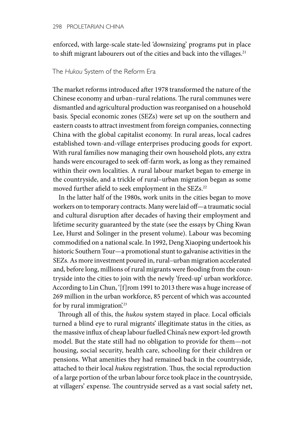enforced, with large-scale state-led 'downsizing' programs put in place to shift migrant labourers out of the cities and back into the villages.<sup>21</sup>

### The *Hukou* System of the Reform Era

The market reforms introduced after 1978 transformed the nature of the Chinese economy and urban–rural relations. The rural communes were dismantled and agricultural production was reorganised on a household basis. Special economic zones (SEZs) were set up on the southern and eastern coasts to attract investment from foreign companies, connecting China with the global capitalist economy. In rural areas, local cadres established town-and-village enterprises producing goods for export. With rural families now managing their own household plots, any extra hands were encouraged to seek off-farm work, as long as they remained within their own localities. A rural labour market began to emerge in the countryside, and a trickle of rural–urban migration began as some moved further afield to seek employment in the SEZs.<sup>22</sup>

In the latter half of the 1980s, work units in the cities began to move workers on to temporary contracts. Many were laid off—a traumatic social and cultural disruption after decades of having their employment and lifetime security guaranteed by the state (see the essays by Ching Kwan Lee, Hurst and Solinger in the present volume). Labour was becoming commodified on a national scale. In 1992, Deng Xiaoping undertook his historic Southern Tour—a promotional stunt to galvanise activities in the SEZs. As more investment poured in, rural–urban migration accelerated and, before long, millions of rural migrants were flooding from the countryside into the cities to join with the newly 'freed-up' urban workforce. According to Lin Chun, '[f]rom 1991 to 2013 there was a huge increase of 269 million in the urban workforce, 85 percent of which was accounted for by rural immigration.<sup>23</sup>

Through all of this, the *hukou* system stayed in place. Local officials turned a blind eye to rural migrants' illegitimate status in the cities, as the massive influx of cheap labour fuelled China's new export-led growth model. But the state still had no obligation to provide for them—not housing, social security, health care, schooling for their children or pensions. What amenities they had remained back in the countryside, attached to their local *hukou* registration. Thus, the social reproduction of a large portion of the urban labour force took place in the countryside, at villagers' expense. The countryside served as a vast social safety net,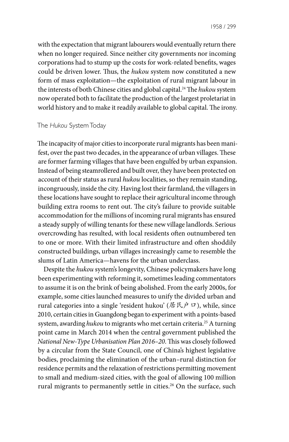with the expectation that migrant labourers would eventually return there when no longer required. Since neither city governments nor incoming corporations had to stump up the costs for work-related benefits, wages could be driven lower. Thus, the *hukou* system now constituted a new form of mass exploitation—the exploitation of rural migrant labour in the interests of both Chinese cities and global capital.24 The *hukou* system now operated both to facilitate the production of the largest proletariat in world history and to make it readily available to global capital. The irony.

### The *Hukou* System Today

The incapacity of major cities to incorporate rural migrants has been manifest, over the past two decades, in the appearance of urban villages. These are former farming villages that have been engulfed by urban expansion. Instead of being steamrollered and built over, they have been protected on account of their status as rural *hukou* localities, so they remain standing, incongruously, inside the city. Having lost their farmland, the villagers in these locations have sought to replace their agricultural income through building extra rooms to rent out. The city's failure to provide suitable accommodation for the millions of incoming rural migrants has ensured a steady supply of willing tenants for these new village landlords. Serious overcrowding has resulted, with local residents often outnumbered ten to one or more. With their limited infrastructure and often shoddily constructed buildings, urban villages increasingly came to resemble the slums of Latin America—havens for the urban underclass.

Despite the *hukou* system's longevity, Chinese policymakers have long been experimenting with reforming it, sometimes leading commentators to assume it is on the brink of being abolished. From the early 2000s, for example, some cities launched measures to unify the divided urban and rural categories into a single 'resident hukou' (居民户口), while, since 2010, certain cities in Guangdong began to experiment with a points-based system, awarding *hukou* to migrants who met certain criteria.<sup>25</sup> A turning point came in March 2014 when the central government published the *National New-Type Urbanisation Plan 2016–20*. This was closely followed by a circular from the State Council, one of China's highest legislative bodies, proclaiming the elimination of the urban–rural distinction for residence permits and the relaxation of restrictions permitting movement to small and medium-sized cities, with the goal of allowing 100 million rural migrants to permanently settle in cities.<sup>26</sup> On the surface, such